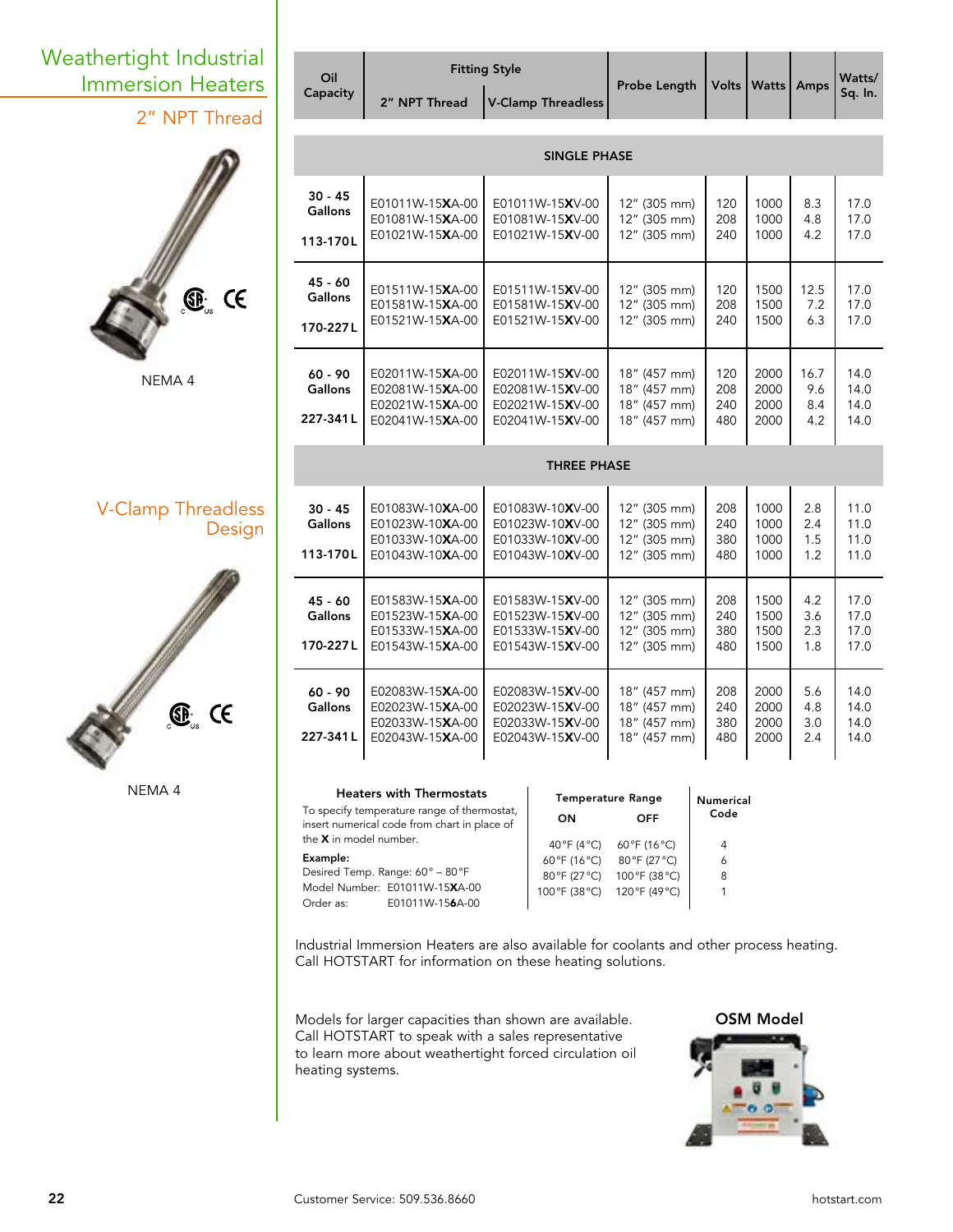# Weathertight Industrial Immersion Heaters

2" NPT Thread

Oil Capacity



|                                     |                                         | <b>SINGLE PHASE</b>                                                      |                                                                          |                                                              |                          |                              |                           |                              |
|-------------------------------------|-----------------------------------------|--------------------------------------------------------------------------|--------------------------------------------------------------------------|--------------------------------------------------------------|--------------------------|------------------------------|---------------------------|------------------------------|
|                                     | $30 - 45$<br>Gallons<br>113-170L        | E01011W-15XA-00<br>E01081W-15XA-00<br>E01021W-15XA-00                    | E01011W-15XV-00<br>E01081W-15XV-00<br>E01021W-15XV-00                    | 12" (305 mm)<br>12" (305 mm)<br>12" (305 mm)                 | 120<br>208<br>240        | 1000<br>1000<br>1000         | 8.3<br>4.8<br>4.2         | 17.0<br>17.0<br>17.0         |
| $\mathbf{G}_{\mathbf{G}}$ (E)       | $45 - 60$<br>Gallons<br>170-227L        | E01511W-15XA-00<br>E01581W-15XA-00<br>E01521W-15XA-00                    | E01511W-15XV-00<br>E01581W-15XV-00<br>E01521W-15XV-00                    | 12" (305 mm)<br>12" (305 mm)<br>12" (305 mm)                 | 120<br>208<br>240        | 1500<br>1500<br>1500         | 12.5<br>7.2<br>6.3        | 17.0<br>17.0<br>17.0         |
| NEMA 4                              | $60 - 90$<br>Gallons<br>227-341L        | E02011W-15XA-00<br>E02081W-15XA-00<br>E02021W-15XA-00<br>E02041W-15XA-00 | E02011W-15XV-00<br>E02081W-15XV-00<br>E02021W-15XV-00<br>E02041W-15XV-00 | 18" (457 mm)<br>18" (457 mm)<br>18" (457 mm)<br>18" (457 mm) | 120<br>208<br>240<br>480 | 2000<br>2000<br>2000<br>2000 | 16.7<br>9.6<br>8.4<br>4.2 | 14.0<br>14.0<br>14.0<br>14.0 |
|                                     |                                         |                                                                          | <b>THREE PHASE</b>                                                       |                                                              |                          |                              |                           |                              |
| <b>V-Clamp Threadless</b><br>Design | $30 - 45$<br>Gallons<br>113-170L        | E01083W-10XA-00<br>E01023W-10XA-00<br>E01033W-10XA-00<br>E01043W-10XA-00 | E01083W-10XV-00<br>E01023W-10XV-00<br>E01033W-10XV-00<br>E01043W-10XV-00 | 12" (305 mm)<br>12" (305 mm)<br>12" (305 mm)<br>12" (305 mm) | 208<br>240<br>380<br>480 | 1000<br>1000<br>1000<br>1000 | 2.8<br>2.4<br>1.5<br>1.2  | 11.0<br>11.0<br>11.0<br>11.0 |
|                                     | $45 - 60$<br>Gallons<br>170-227L        | E01583W-15XA-00<br>E01523W-15XA-00<br>E01533W-15XA-00<br>E01543W-15XA-00 | E01583W-15XV-00<br>E01523W-15XV-00<br>E01533W-15XV-00<br>E01543W-15XV-00 | 12" (305 mm)<br>12" (305 mm)<br>12" (305 mm)<br>12" (305 mm) | 208<br>240<br>380<br>480 | 1500<br>1500<br>1500<br>1500 | 4.2<br>3.6<br>2.3<br>1.8  | 17.0<br>17.0<br>17.0<br>17.0 |
| $\bigoplus_{\omega} G$              | $60 - 90$<br><b>Gallons</b><br>227-341L | E02083W-15XA-00<br>E02023W-15XA-00<br>E02033W-15XA-00<br>E02043W-15XA-00 | E02083W-15XV-00<br>E02023W-15XV-00<br>E02033W-15XV-00<br>E02043W-15XV-00 | 18" (457 mm)<br>18" (457 mm)<br>18" (457 mm)<br>18" (457 mm) | 208<br>240<br>380<br>480 | 2000<br>2000<br>2000<br>2000 | 5.6<br>4.8<br>3.0<br>2.4  | 14.0<br>14.0<br>14.0<br>14.0 |

Fitting Style

2" NPT Thread | V-Clamp Threadless

NEMA 4

| <b>Heaters with Thermostats</b><br>To specify temperature range of thermostat,<br>insert numerical code from chart in place of | ON            | <b>Temperature Range</b><br>OFF | Numerical<br>Code |
|--------------------------------------------------------------------------------------------------------------------------------|---------------|---------------------------------|-------------------|
| the $X$ in model number.                                                                                                       | 40 °F (4 °C)  | 60 °F (16 °C)                   | 4                 |
| Example:                                                                                                                       |               | 60°F (16°C) 80°F (27°C)         | 6                 |
| Desired Temp. Range: 60° - 80°F                                                                                                | 80 °F (27 °C) | 100°F (38 °C)                   | 8                 |
| Model Number: E01011W-15XA-00                                                                                                  |               | 100°F (38°C) 120°F (49°C)       |                   |
| E01011W-156A-00<br>Order as:                                                                                                   |               |                                 |                   |

E02043W-15XV-00

18" (457 mm)

480

2000

Industrial Immersion Heaters are also available for coolants and other process heating. Call HOTSTART for information on these heating solutions.

Models for larger capacities than shown are available. Call HOTSTART to speak with a sales representative to learn more about weathertight forced circulation oil heating systems.

E02043W-15XA-00



Probe Length  $\bigg|$  Volts Watts Amps  $\bigg|$  Watts/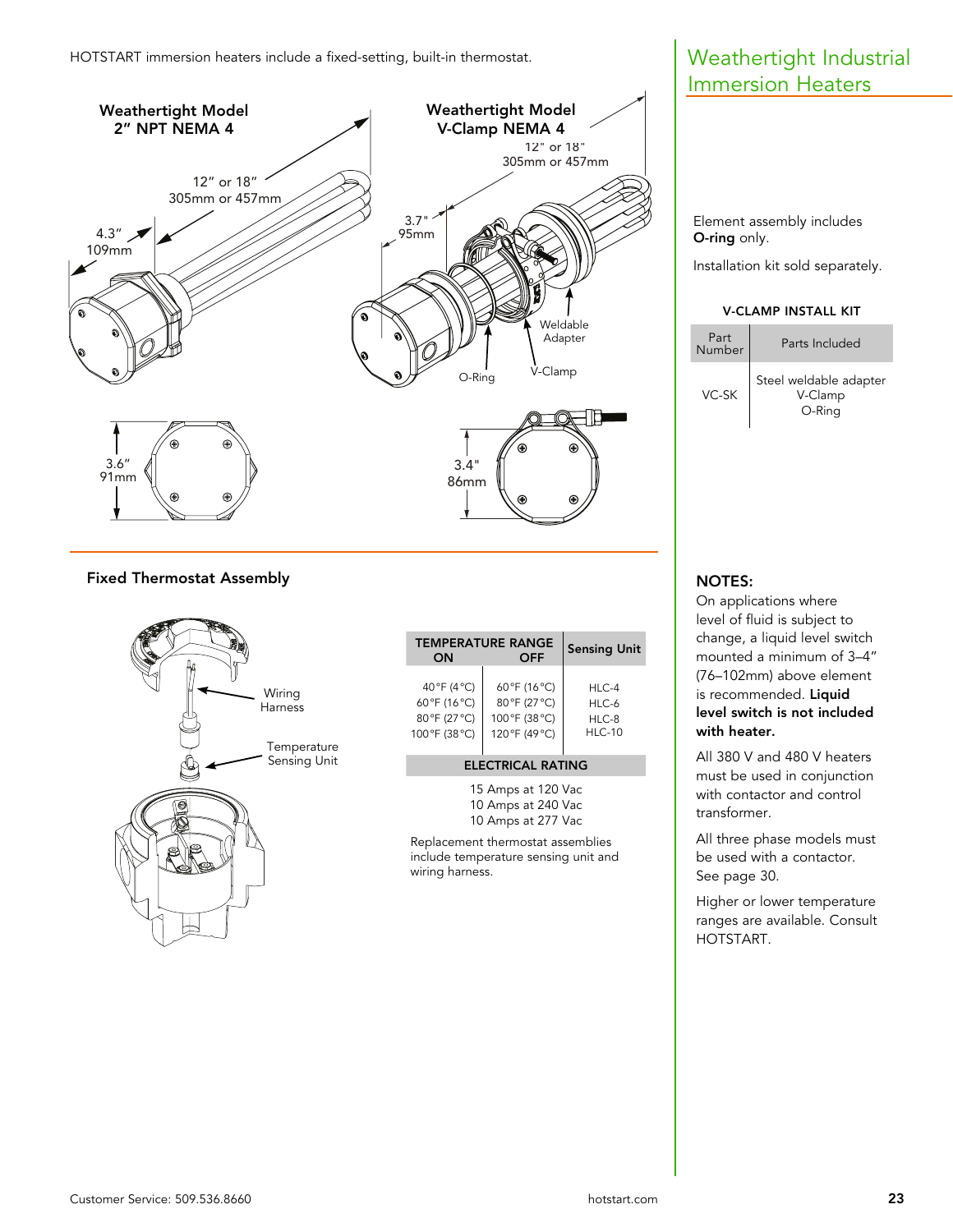HOTSTART immersion heaters include a fixed-setting, built-in thermostat.



Fixed Thermostat Assembly



| <b>TEMPERATURE RANGE</b><br>ON | <b>Sensing Unit</b> |          |
|--------------------------------|---------------------|----------|
| 40°F (4°C)                     | 60°F (16 °C)        | $HLC-4$  |
| 60°F (16°C)                    | 80°F (27 °C)        | HLC-6    |
| 80°F (27°C)                    | 100°F (38 °C)       | HLC-8    |
| 100°F (38°C)                   | 120°F (49 °C)       | $HLC-10$ |

### ELECTRICAL RATING

15 Amps at 120 Vac 10 Amps at 240 Vac 10 Amps at 277 Vac

Replacement thermostat assemblies include temperature sensing unit and wiring harness.

# Weathertight Industrial Immersion Heaters

Element assembly includes O-ring only.

Installation kit sold separately.

### V-CLAMP INSTALL KIT

| Part<br>Number | Parts Included                              |
|----------------|---------------------------------------------|
| VC-SK          | Steel weldable adapter<br>V-Clamp<br>O-Ring |

## NOTES:

On applications where level of fluid is subject to change, a liquid level switch mounted a minimum of 3–4" (76–102mm) above element is recommended. Liquid level switch is not included with heater.

All 380 V and 480 V heaters must be used in conjunction with contactor and control transformer.

All three phase models must be used with a contactor. See page 30.

Higher or lower temperature ranges are available. Consult HOTSTART.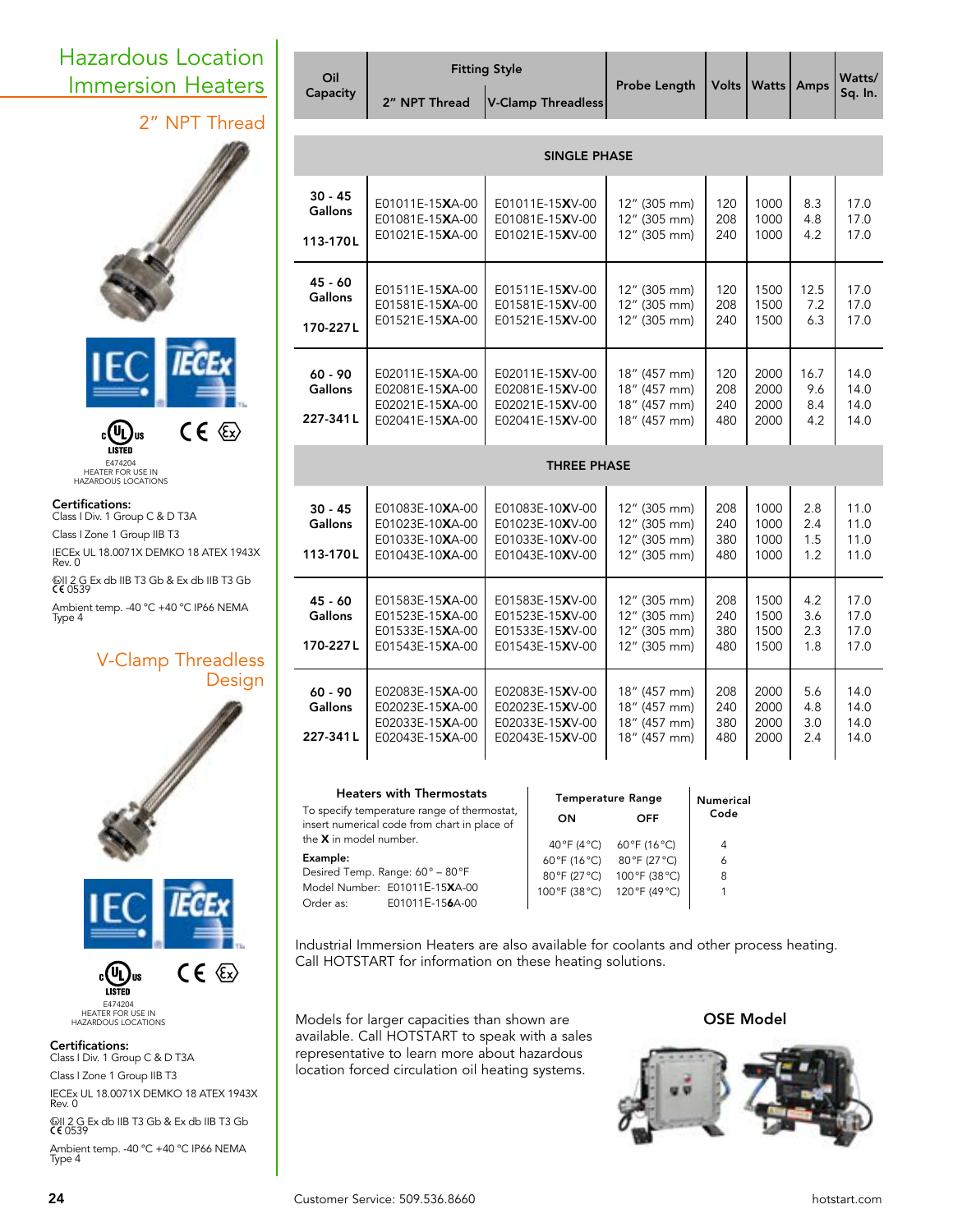# Hazardous Location Immersion Heaters

## 2" NPT Thread



LISTED E474204<br>HEATER FOR USE IN<br>HAZARDOUS LOCATIONS

#### Certifications:

Class I Div. 1 Group C & D T3A Class I Zone 1 Group IIB T3 IECEx UL 18.0071X DEMKO 18 ATEX 1943X Rev. 0

©II 2 G Ex db IIB T3 Gb & Ex db IIB T3 Gb<br>C€ 0539

Ambient temp. -40 °C +40 °C IP66 NEMA Type 4

# V-Clamp Threadless **Design**







### Certifications:

Class I Div. 1 Group C & D T3A Class I Zone 1 Group IIB T3 IECEx UL 18.0071X DEMKO 18 ATEX 1943X Rev. 0

®II 2 G Ex db IIB T3 Gb & Ex db IIB T3 Gb<br>C€ 0539

Ambient temp. -40 °C +40 °C IP66 NEMA Type 4

| Oil      | <b>Fitting Style</b>               | Probe Length Volts Watts Amps Sq. In. |  |  |
|----------|------------------------------------|---------------------------------------|--|--|
| Capacity | 2" NPT Thread   V-Clamp Threadless |                                       |  |  |

| <b>SINGLE PHASE</b>              |                                                                          |                                                                          |                                                              |                          |                              |                           |                              |
|----------------------------------|--------------------------------------------------------------------------|--------------------------------------------------------------------------|--------------------------------------------------------------|--------------------------|------------------------------|---------------------------|------------------------------|
| $30 - 45$<br>Gallons<br>113-170L | E01011E-15XA-00<br>E01081E-15XA-00<br>E01021E-15XA-00                    | E01011E-15XV-00<br>E01081E-15XV-00<br>E01021E-15XV-00                    | 12" (305 mm)<br>12" (305 mm)<br>12" (305 mm)                 | 120<br>208<br>240        | 1000<br>1000<br>1000         | 8.3<br>4.8<br>4.2         | 17.0<br>17.0<br>17.0         |
| $45 - 60$<br>Gallons<br>170-227L | E01511E-15XA-00<br>E01581E-15XA-00<br>E01521E-15XA-00                    | E01511E-15XV-00<br>E01581E-15XV-00<br>E01521E-15XV-00                    | 12" (305 mm)<br>12" (305 mm)<br>12" (305 mm)                 | 120<br>208<br>240        | 1500<br>1500<br>1500         | 12.5<br>7.2<br>6.3        | 17.0<br>17.0<br>17.0         |
| $60 - 90$<br>Gallons<br>227-341L | E02011E-15XA-00<br>E02081E-15XA-00<br>E02021E-15XA-00<br>E02041E-15XA-00 | E02011E-15XV-00<br>E02081E-15XV-00<br>E02021E-15XV-00<br>E02041E-15XV-00 | 18" (457 mm)<br>18" (457 mm)<br>18" (457 mm)<br>18" (457 mm) | 120<br>208<br>240<br>480 | 2000<br>2000<br>2000<br>2000 | 16.7<br>9.6<br>8.4<br>4.2 | 14.0<br>14.0<br>14.0<br>14.0 |
|                                  |                                                                          | <b>THREE PHASE</b>                                                       |                                                              |                          |                              |                           |                              |
| $30 - 45$<br>Gallons<br>113-170L | E01083E-10XA-00<br>E01023E-10XA-00<br>E01033E-10XA-00<br>E01043E-10XA-00 | E01083E-10XV-00<br>E01023E-10XV-00<br>E01033E-10XV-00<br>E01043E-10XV-00 | 12" (305 mm)<br>12" (305 mm)<br>12" (305 mm)<br>12" (305 mm) | 208<br>240<br>380<br>480 | 1000<br>1000<br>1000<br>1000 | 2.8<br>2.4<br>1.5<br>1.2  | 11.0<br>11.0<br>11.0<br>11.0 |
| $45 - 60$<br>Gallons<br>170-227L | E01583E-15XA-00<br>E01523E-15XA-00<br>E01533E-15XA-00<br>E01543E-15XA-00 | E01583E-15XV-00<br>E01523E-15XV-00<br>E01533E-15XV-00<br>E01543E-15XV-00 | 12" (305 mm)<br>12" (305 mm)<br>12" (305 mm)<br>12" (305 mm) | 208<br>240<br>380<br>480 | 1500<br>1500<br>1500<br>1500 | 4.2<br>3.6<br>2.3<br>1.8  | 17.0<br>17.0<br>17.0<br>17.0 |
| $60 - 90$                        | E02083E-15XA-00                                                          | E02083E-15XV-00                                                          | 18" (457 mm)                                                 | 208                      | 2000                         | 5.6                       | 14.0                         |

| <b>Heaters with Thermostats</b><br>To specify temperature range of thermostat,<br>insert numerical code from chart in place of | OΝ            | <b>Temperature Range</b><br><b>OFF</b> | <b>Numerical</b><br>Code |
|--------------------------------------------------------------------------------------------------------------------------------|---------------|----------------------------------------|--------------------------|
| the X in model number.                                                                                                         | 40 °F (4 °C)  | 60 °F (16 °C)                          | 4                        |
| Example:                                                                                                                       | 60 °F (16 °C) | 80°F (27 °C)                           | 6                        |
| Desired Temp. Range: 60° - 80°F                                                                                                | 80 °F (27 °C) | 100°F (38°C)                           | 8                        |
| Model Number: E01011E-15XA-00<br>E01011E-156A-00<br>Order as:                                                                  |               | 100°F (38°C) 120°F (49°C)              |                          |
|                                                                                                                                |               |                                        |                          |

E02023E-15XV-00 E02033E-15XV-00 E02043E-15XV-00 18" (457 mm) 18" (457 mm) 18" (457 mm)

240 380 480 2000 2000 2000 4.8 3.0 2.4 14.0 14.0 14.0

Industrial Immersion Heaters are also available for coolants and other process heating. Call HOTSTART for information on these heating solutions.

Models for larger capacities than shown are available. Call HOTSTART to speak with a sales representative to learn more about hazardous location forced circulation oil heating systems.

E02023E-15XA-00 E02033E-15XA-00 E02043E-15XA-00

OSE Model



Gallons 227-341L